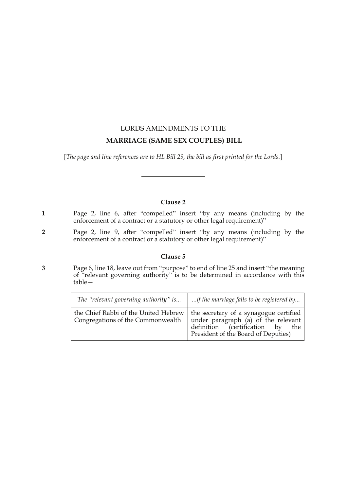# LORDS AMENDMENTS TO THE  **MARRIAGE (SAME SEX COUPLES) BILL**

[*The page and line references are to HL Bill 29, the bill as first printed for the Lords.*]

### **Clause 2**

- **1** Page 2, line 6, after "compelled" insert "by any means (including by the enforcement of a contract or a statutory or other legal requirement)"
- **2** Page 2, line 9, after "compelled" insert "by any means (including by the enforcement of a contract or a statutory or other legal requirement)"

### **Clause 5**

**3** Page 6, line 18, leave out from "purpose" to end of line 25 and insert "the meaning of "relevant governing authority" is to be determined in accordance with this table—

| The "relevant governing authority" is                                     | if the marriage falls to be registered by                                                                                                                |
|---------------------------------------------------------------------------|----------------------------------------------------------------------------------------------------------------------------------------------------------|
| the Chief Rabbi of the United Hebrew<br>Congregations of the Commonwealth | the secretary of a synagogue certified<br>under paragraph (a) of the relevant<br>definition (certification by the<br>President of the Board of Deputies) |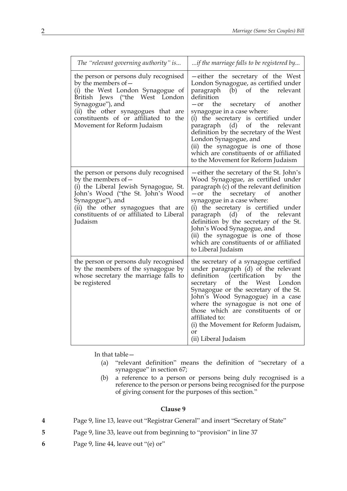| The "relevant governing authority" is                                                                                                                                                                                                                                  | if the marriage falls to be registered by                                                                                                                                                                                                                                                                                                                                                                                                                                                        |
|------------------------------------------------------------------------------------------------------------------------------------------------------------------------------------------------------------------------------------------------------------------------|--------------------------------------------------------------------------------------------------------------------------------------------------------------------------------------------------------------------------------------------------------------------------------------------------------------------------------------------------------------------------------------------------------------------------------------------------------------------------------------------------|
| the person or persons duly recognised<br>by the members of -<br>(i) the West London Synagogue of<br>West London<br>British Jews ("the<br>Synagogue"), and<br>(ii) the other synagogues that are<br>constituents of or affiliated to the<br>Movement for Reform Judaism | -either the secretary of the West<br>London Synagogue, as certified under<br>paragraph<br>$(b)$ of<br>the<br>relevant<br>definition<br>the<br>secretary<br>of<br>another<br>$-$ or<br>synagogue in a case where:<br>(i) the secretary is certified under<br>(d)<br>of<br>the<br>paragraph<br>relevant<br>definition by the secretary of the West<br>London Synagogue, and<br>(ii) the synagogue is one of those<br>which are constituents of or affiliated<br>to the Movement for Reform Judaism |
| the person or persons duly recognised<br>by the members of -<br>(i) the Liberal Jewish Synagogue, St.<br>John's Wood ("the St. John's Wood<br>Synagogue"), and<br>(ii) the other synagogues that are<br>constituents of or affiliated to Liberal<br>Judaism            | -either the secretary of the St. John's<br>Wood Synagogue, as certified under<br>paragraph (c) of the relevant definition<br>of<br>$-$ or<br>the<br>secretary<br>another<br>synagogue in a case where:<br>(i) the secretary is certified under<br>(d)<br>of the<br>paragraph<br>relevant<br>definition by the secretary of the St.<br>John's Wood Synagogue, and<br>(ii) the synagogue is one of those<br>which are constituents of or affiliated<br>to Liberal Judaism                          |
| the person or persons duly recognised<br>by the members of the synagogue by<br>whose secretary the marriage falls to<br>be registered                                                                                                                                  | the secretary of a synagogue certified<br>under paragraph (d) of the relevant<br>definition<br><i>(certification</i> )<br>by<br>the<br>secretary of the West<br>London<br>Synagogue or the secretary of the St.<br>John's Wood Synagogue) in a case<br>where the synagogue is not one of<br>those which are constituents of or<br>affiliated to:<br>(i) the Movement for Reform Judaism,<br>or<br>(ii) Liberal Judaism                                                                           |

In that table—

- (a) "relevant definition" means the definition of "secretary of a synagogue" in section 67;
- (b) a reference to a person or persons being duly recognised is a reference to the person or persons being recognised for the purpose of giving consent for the purposes of this section."

# **Clause 9**

- **4** Page 9, line 13, leave out "Registrar General" and insert "Secretary of State"
- **5** Page 9, line 33, leave out from beginning to "provision" in line 37
- **6** Page 9, line 44, leave out "(e) or"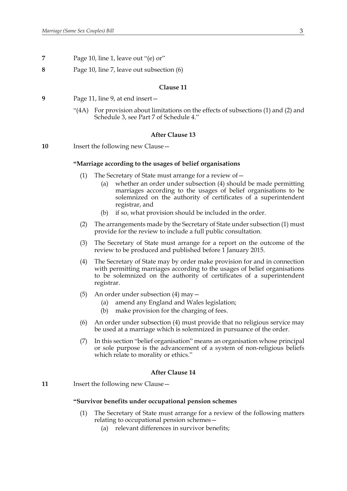- **7** Page 10, line 1, leave out "(e) or"
- **8** Page 10, line 7, leave out subsection (6)

### **Clause 11**

- **9** Page 11, line 9, at end insert—
	- "(4A) For provision about limitations on the effects of subsections (1) and (2) and Schedule 3, see Part 7 of Schedule 4."

#### **After Clause 13**

**10** Insert the following new Clause—

#### **"Marriage according to the usages of belief organisations**

- (1) The Secretary of State must arrange for a review of  $-$ 
	- (a) whether an order under subsection (4) should be made permitting marriages according to the usages of belief organisations to be solemnized on the authority of certificates of a superintendent registrar, and
	- (b) if so, what provision should be included in the order.
- (2) The arrangements made by the Secretary of State under subsection (1) must provide for the review to include a full public consultation.
- (3) The Secretary of State must arrange for a report on the outcome of the review to be produced and published before 1 January 2015.
- (4) The Secretary of State may by order make provision for and in connection with permitting marriages according to the usages of belief organisations to be solemnized on the authority of certificates of a superintendent registrar.
- (5) An order under subsection (4) may—
	- (a) amend any England and Wales legislation;
	- (b) make provision for the charging of fees.
- (6) An order under subsection (4) must provide that no religious service may be used at a marriage which is solemnized in pursuance of the order.
- (7) In this section "belief organisation" means an organisation whose principal or sole purpose is the advancement of a system of non-religious beliefs which relate to morality or ethics."

### **After Clause 14**

**11** Insert the following new Clause -

#### **"Survivor benefits under occupational pension schemes**

- (1) The Secretary of State must arrange for a review of the following matters relating to occupational pension schemes—
	- (a) relevant differences in survivor benefits;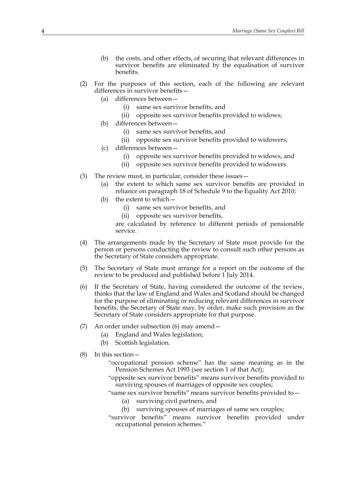- (b) the costs, and other effects, of securing that relevant differences in survivor benefits are eliminated by the equalisation of survivor benefits.
- (2) For the purposes of this section, each of the following are relevant differences in survivor benefits—
	- (a) differences between—
		- (i) same sex survivor benefits, and
		- (ii) opposite sex survivor benefits provided to widows;
	- (b) differences between—
		- (i) same sex survivor benefits, and
		- (ii) opposite sex survivor benefits provided to widowers;
	- (c) differences between—
		- (i) opposite sex survivor benefits provided to widows, and
		- (ii) opposite sex survivor benefits provided to widowers.
- (3) The review must, in particular, consider these issues—
	- (a) the extent to which same sex survivor benefits are provided in reliance on paragraph 18 of Schedule 9 to the Equality Act 2010;
	- (b) the extent to which—
		- (i) same sex survivor benefits, and
		- (ii) opposite sex survivor benefits,

are calculated by reference to different periods of pensionable service.

- (4) The arrangements made by the Secretary of State must provide for the person or persons conducting the review to consult such other persons as the Secretary of State considers appropriate.
- (5) The Secretary of State must arrange for a report on the outcome of the review to be produced and published before 1 July 2014.
- (6) If the Secretary of State, having considered the outcome of the review, thinks that the law of England and Wales and Scotland should be changed for the purpose of eliminating or reducing relevant differences in survivor benefits, the Secretary of State may, by order, make such provision as the Secretary of State considers appropriate for that purpose.
- (7) An order under subsection (6) may amend—
	- (a) England and Wales legislation;
	- (b) Scottish legislation.
- (8) In this section—
	- "occupational pension scheme" has the same meaning as in the Pension Schemes Act 1993 (see section 1 of that Act);
	- "opposite sex survivor benefits" means survivor benefits provided to surviving spouses of marriages of opposite sex couples;
	- "same sex survivor benefits" means survivor benefits provided to—
		- (a) surviving civil partners, and
		- (b) surviving spouses of marriages of same sex couples;
	- "survivor benefits" means survivor benefits provided under occupational pension schemes."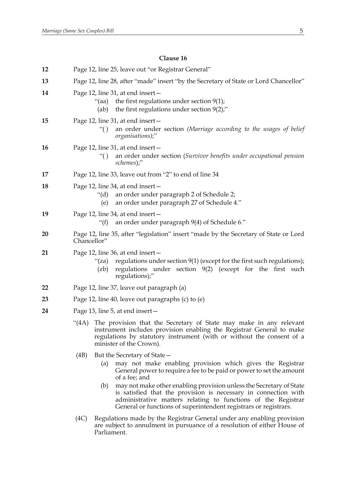# **Clause 16**

| 12 | Page 12, line 25, leave out "or Registrar General"                                                                                                                                                                                                                                                                                                                                                                                                                                      |  |
|----|-----------------------------------------------------------------------------------------------------------------------------------------------------------------------------------------------------------------------------------------------------------------------------------------------------------------------------------------------------------------------------------------------------------------------------------------------------------------------------------------|--|
| 13 | Page 12, line 28, after "made" insert "by the Secretary of State or Lord Chancellor"                                                                                                                                                                                                                                                                                                                                                                                                    |  |
| 14 | Page 12, line 31, at end insert-<br>the first regulations under section 9(1);<br>"(aa)<br>the first regulations under section 9(2);"<br>(ab)                                                                                                                                                                                                                                                                                                                                            |  |
| 15 | Page 12, line 31, at end insert-<br>an order under section (Marriage according to the usages of belief<br>``()<br>organisations);"                                                                                                                                                                                                                                                                                                                                                      |  |
| 16 | Page 12, line 31, at end insert-<br>an order under section (Survivor benefits under occupational pension<br>``()<br>schemes);"                                                                                                                                                                                                                                                                                                                                                          |  |
| 17 | Page 12, line 33, leave out from "2" to end of line 34                                                                                                                                                                                                                                                                                                                                                                                                                                  |  |
| 18 | Page 12, line 34, at end insert-<br>an order under paragraph 2 of Schedule 2;<br>" $(d)$<br>an order under paragraph 27 of Schedule 4."<br>(e)                                                                                                                                                                                                                                                                                                                                          |  |
| 19 | Page 12, line 34, at end insert-<br>an order under paragraph 9(4) of Schedule 6."<br>" $(f)$                                                                                                                                                                                                                                                                                                                                                                                            |  |
| 20 | Page 12, line 35, after "legislation" insert "made by the Secretary of State or Lord<br>Chancellor"                                                                                                                                                                                                                                                                                                                                                                                     |  |
| 21 | Page 12, line 36, at end insert-<br>"(za) regulations under section 9(1) (except for the first such regulations);<br>regulations under section 9(2) (except for the first such<br>(zb)<br>regulations);"                                                                                                                                                                                                                                                                                |  |
| 22 | Page 12, line 37, leave out paragraph (a)                                                                                                                                                                                                                                                                                                                                                                                                                                               |  |
| 23 | Page 12, line 40, leave out paragraphs (c) to (e)                                                                                                                                                                                                                                                                                                                                                                                                                                       |  |
| 24 | Page 13, line 5, at end insert-                                                                                                                                                                                                                                                                                                                                                                                                                                                         |  |
|    | "(4A) The provision that the Secretary of State may make in any relevant<br>instrument includes provision enabling the Registrar General to make<br>regulations by statutory instrument (with or without the consent of a<br>minister of the Crown).                                                                                                                                                                                                                                    |  |
|    | (4B)<br>But the Secretary of State –<br>may not make enabling provision which gives the Registrar<br>(a)<br>General power to require a fee to be paid or power to set the amount<br>of a fee; and<br>(b)<br>may not make other enabling provision unless the Secretary of State<br>is satisfied that the provision is necessary in connection with<br>administrative matters relating to functions of the Registrar<br>General or functions of superintendent registrars or registrars. |  |
|    | Regulations made by the Registrar General under any enabling provision<br>(4C)<br>are subject to annulment in pursuance of a resolution of either House of<br>Parliament.                                                                                                                                                                                                                                                                                                               |  |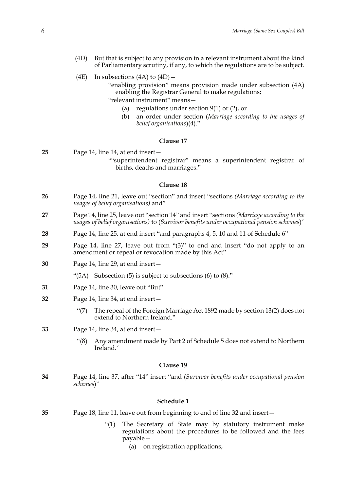- (4D) But that is subject to any provision in a relevant instrument about the kind of Parliamentary scrutiny, if any, to which the regulations are to be subject.
- (4E) In subsections (4A) to  $(4D)$  –

"enabling provision" means provision made under subsection (4A) enabling the Registrar General to make regulations;

"relevant instrument" means—

- (a) regulations under section 9(1) or (2), or
- (b) an order under section (*Marriage according to the usages of belief organisations*)(4)."

#### **Clause 17**

**25** Page 14, line 14, at end insert— ""superintendent registrar" means a superintendent registrar of births, deaths and marriages."

#### **Clause 18**

- **26** Page 14, line 21, leave out "section" and insert "sections *(Marriage according to the usages of belief organisations)* and"
- **27** Page 14, line 25, leave out "section 14" and insert "sections *(Marriage according to the usages of belief organisations)* to (*Survivor benefits under occupational pension schemes*)"
- **28** Page 14, line 25, at end insert "and paragraphs 4, 5, 10 and 11 of Schedule 6"
- **29** Page 14, line 27, leave out from "(3)" to end and insert "do not apply to an amendment or repeal or revocation made by this Act"
- **30** Page 14, line 29, at end insert—
	- "(5A) Subsection (5) is subject to subsections (6) to (8)."
- **31** Page 14, line 30, leave out "But"
- **32** Page 14, line 34, at end insert—
	- "(7) The repeal of the Foreign Marriage Act 1892 made by section 13(2) does not extend to Northern Ireland."
- **33** Page 14, line 34, at end insert—
	- "(8) Any amendment made by Part 2 of Schedule 5 does not extend to Northern Ireland."

#### **Clause 19**

**34** Page 14, line 37, after "14" insert "and (*Survivor benefits under occupational pension schemes*)"

### **Schedule 1**

- **35** Page 18, line 11, leave out from beginning to end of line 32 and insert—
	- "(1) The Secretary of State may by statutory instrument make regulations about the procedures to be followed and the fees payable—
		- (a) on registration applications;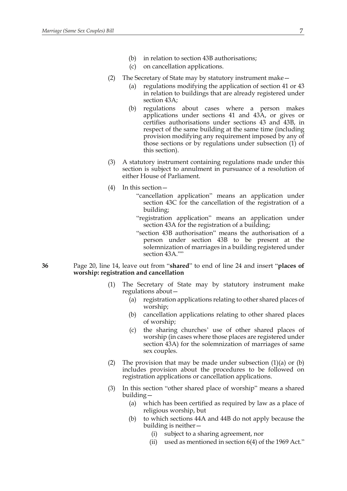- (b) in relation to section 43B authorisations;
- (c) on cancellation applications.
- (2) The Secretary of State may by statutory instrument make—
	- (a) regulations modifying the application of section 41 or 43 in relation to buildings that are already registered under section 43A;
	- (b) regulations about cases where a person makes applications under sections 41 and 43A, or gives or certifies authorisations under sections 43 and 43B, in respect of the same building at the same time (including provision modifying any requirement imposed by any of those sections or by regulations under subsection (1) of this section).
- (3) A statutory instrument containing regulations made under this section is subject to annulment in pursuance of a resolution of either House of Parliament.
- (4) In this section—
	- "cancellation application" means an application under section 43C for the cancellation of the registration of a building;
	- "registration application" means an application under section 43A for the registration of a building;
	- "section 43B authorisation" means the authorisation of a person under section 43B to be present at the solemnization of marriages in a building registered under section 43A.""
- **36** Page 20, line 14, leave out from "**shared**" to end of line 24 and insert "**places of worship: registration and cancellation**
	- (1) The Secretary of State may by statutory instrument make regulations about—
		- (a) registration applications relating to other shared places of worship;
		- (b) cancellation applications relating to other shared places of worship;
		- (c) the sharing churches' use of other shared places of worship (in cases where those places are registered under section 43A) for the solemnization of marriages of same sex couples.
	- (2) The provision that may be made under subsection  $(1)(a)$  or  $(b)$ includes provision about the procedures to be followed on registration applications or cancellation applications.
	- (3) In this section "other shared place of worship" means a shared building—
		- (a) which has been certified as required by law as a place of religious worship, but
		- (b) to which sections 44A and 44B do not apply because the building is neither—
			- (i) subject to a sharing agreement, nor
			- (ii) used as mentioned in section 6(4) of the 1969 Act."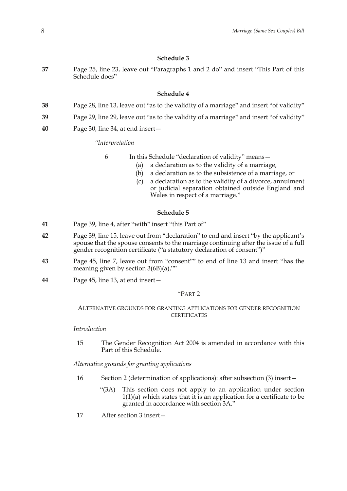# **Schedule 3**

**37** Page 25, line 23, leave out "Paragraphs 1 and 2 do" and insert "This Part of this Schedule does"

### **Schedule 4**

- **38** Page 28, line 13, leave out "as to the validity of a marriage" and insert "of validity"
- **39** Page 29, line 29, leave out "as to the validity of a marriage" and insert "of validity"
- **40** Page 30, line 34, at end insert—

### *"Interpretation*

- 6 In this Schedule "declaration of validity" means—
	- (a) a declaration as to the validity of a marriage,
	- (b) a declaration as to the subsistence of a marriage, or
	- (c) a declaration as to the validity of a divorce, annulment or judicial separation obtained outside England and Wales in respect of a marriage."

### **Schedule 5**

- **41** Page 39, line 4, after "with" insert "this Part of"
- **42** Page 39, line 15, leave out from "declaration" to end and insert "by the applicant's spouse that the spouse consents to the marriage continuing after the issue of a full gender recognition certificate ("a statutory declaration of consent")"
- **43** Page 45, line 7, leave out from "consent"" to end of line 13 and insert "has the meaning given by section  $3(6B)(a)$ ,""
- **44** Page 45, line 13, at end insert—

### "PART 2

### ALTERNATIVE GROUNDS FOR GRANTING APPLICATIONS FOR GENDER RECOGNITION **CERTIFICATES**

### *Introduction*

15 The Gender Recognition Act 2004 is amended in accordance with this Part of this Schedule.

### *Alternative grounds for granting applications*

- 16 Section 2 (determination of applications): after subsection (3) insert—
	- "(3A) This section does not apply to an application under section  $1(1)(a)$  which states that it is an application for a certificate to be granted in accordance with section 3A."
- 17 After section 3 insert—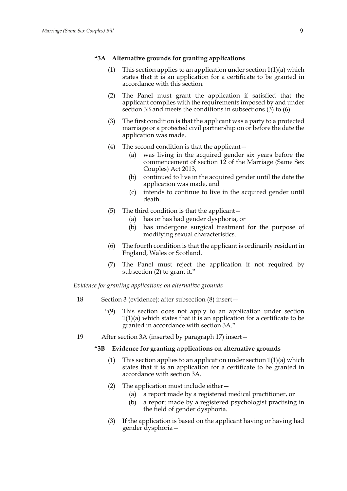#### **"3A Alternative grounds for granting applications**

- (1) This section applies to an application under section  $1(1)(a)$  which states that it is an application for a certificate to be granted in accordance with this section.
- (2) The Panel must grant the application if satisfied that the applicant complies with the requirements imposed by and under section 3B and meets the conditions in subsections (3) to (6).
- (3) The first condition is that the applicant was a party to a protected marriage or a protected civil partnership on or before the date the application was made.
- (4) The second condition is that the applicant—
	- (a) was living in the acquired gender six years before the commencement of section 12 of the Marriage (Same Sex Couples) Act 2013,
	- (b) continued to live in the acquired gender until the date the application was made, and
	- (c) intends to continue to live in the acquired gender until death.
- (5) The third condition is that the applicant—
	- (a) has or has had gender dysphoria, or
	- (b) has undergone surgical treatment for the purpose of modifying sexual characteristics.
- (6) The fourth condition is that the applicant is ordinarily resident in England, Wales or Scotland.
- (7) The Panel must reject the application if not required by subsection (2) to grant it."

*Evidence for granting applications on alternative grounds*

- 18 Section 3 (evidence): after subsection (8) insert—
	- "(9) This section does not apply to an application under section 1(1)(a) which states that it is an application for a certificate to be granted in accordance with section 3A."
- 19 After section 3A (inserted by paragraph 17) insert—

### **"3B Evidence for granting applications on alternative grounds**

- (1) This section applies to an application under section  $1(1)(a)$  which states that it is an application for a certificate to be granted in accordance with section 3A.
- (2) The application must include either—
	- (a) a report made by a registered medical practitioner, or
	- (b) a report made by a registered psychologist practising in the field of gender dysphoria.
- (3) If the application is based on the applicant having or having had gender dysphoria—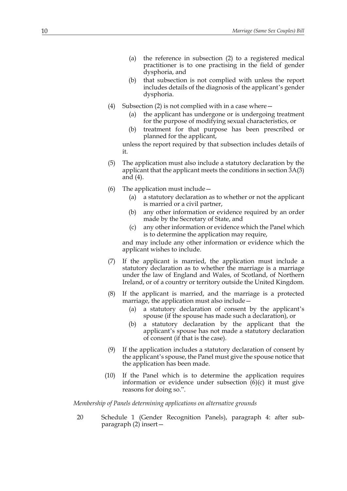- (a) the reference in subsection (2) to a registered medical practitioner is to one practising in the field of gender dysphoria, and
- (b) that subsection is not complied with unless the report includes details of the diagnosis of the applicant's gender dysphoria.
- (4) Subsection (2) is not complied with in a case where—
	- (a) the applicant has undergone or is undergoing treatment for the purpose of modifying sexual characteristics, or
	- (b) treatment for that purpose has been prescribed or planned for the applicant,

unless the report required by that subsection includes details of it.

- (5) The application must also include a statutory declaration by the applicant that the applicant meets the conditions in section 3A(3) and (4).
- (6) The application must include—
	- (a) a statutory declaration as to whether or not the applicant is married or a civil partner,
	- (b) any other information or evidence required by an order made by the Secretary of State, and
	- (c) any other information or evidence which the Panel which is to determine the application may require,

and may include any other information or evidence which the applicant wishes to include.

- (7) If the applicant is married, the application must include a statutory declaration as to whether the marriage is a marriage under the law of England and Wales, of Scotland, of Northern Ireland, or of a country or territory outside the United Kingdom.
- (8) If the applicant is married, and the marriage is a protected marriage, the application must also include—
	- (a) a statutory declaration of consent by the applicant's spouse (if the spouse has made such a declaration), or
	- (b) a statutory declaration by the applicant that the applicant's spouse has not made a statutory declaration of consent (if that is the case).
- (9) If the application includes a statutory declaration of consent by the applicant's spouse, the Panel must give the spouse notice that the application has been made.
- (10) If the Panel which is to determine the application requires information or evidence under subsection (6)(c) it must give reasons for doing so.".

*Membership of Panels determining applications on alternative grounds*

20 Schedule 1 (Gender Recognition Panels), paragraph 4: after subparagraph (2) insert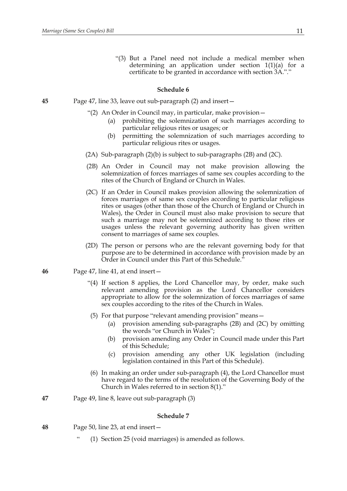"(3) But a Panel need not include a medical member when determining an application under section 1(1)(a) for a certificate to be granted in accordance with section 3A."."

#### **Schedule 6**

- **45** Page 47, line 33, leave out sub-paragraph (2) and insert—
	- "(2) An Order in Council may, in particular, make provision—
		- (a) prohibiting the solemnization of such marriages according to particular religious rites or usages; or
		- (b) permitting the solemnization of such marriages according to particular religious rites or usages.
	- (2A) Sub-paragraph (2)(b) is subject to sub-paragraphs (2B) and (2C).
	- (2B) An Order in Council may not make provision allowing the solemnization of forces marriages of same sex couples according to the rites of the Church of England or Church in Wales.
	- (2C) If an Order in Council makes provision allowing the solemnization of forces marriages of same sex couples according to particular religious rites or usages (other than those of the Church of England or Church in Wales), the Order in Council must also make provision to secure that such a marriage may not be solemnized according to those rites or usages unless the relevant governing authority has given written consent to marriages of same sex couples.
	- (2D) The person or persons who are the relevant governing body for that purpose are to be determined in accordance with provision made by an Order in Council under this Part of this Schedule."
- **46** Page 47, line 41, at end insert—
	- "(4) If section 8 applies, the Lord Chancellor may, by order, make such relevant amending provision as the Lord Chancellor considers appropriate to allow for the solemnization of forces marriages of same sex couples according to the rites of the Church in Wales.
	- (5) For that purpose "relevant amending provision" means—
		- (a) provision amending sub-paragraphs (2B) and (2C) by omitting the words "or Church in Wales";
		- (b) provision amending any Order in Council made under this Part of this Schedule;
		- (c) provision amending any other UK legislation (including legislation contained in this Part of this Schedule).
	- (6) In making an order under sub-paragraph (4), the Lord Chancellor must have regard to the terms of the resolution of the Governing Body of the Church in Wales referred to in section 8(1)."
- **47** Page 49, line 8, leave out sub-paragraph (3)

#### **Schedule 7**

- **48** Page 50, line 23, at end insert—
	- (1) Section 25 (void marriages) is amended as follows.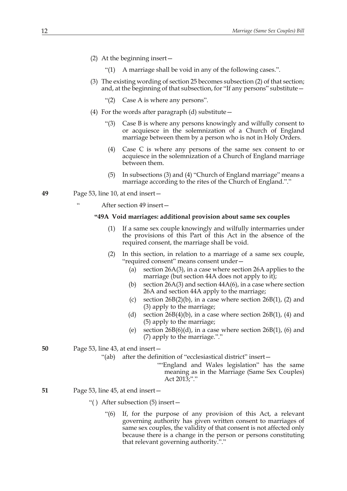- (2) At the beginning insert—
	- "(1) A marriage shall be void in any of the following cases.".
- (3) The existing wording of section 25 becomes subsection (2) of that section; and, at the beginning of that subsection, for "If any persons" substitute—
	- "(2) Case A is where any persons".
- (4) For the words after paragraph (d) substitute—
	- "(3) Case B is where any persons knowingly and wilfully consent to or acquiesce in the solemnization of a Church of England marriage between them by a person who is not in Holy Orders.
	- (4) Case C is where any persons of the same sex consent to or acquiesce in the solemnization of a Church of England marriage between them.
	- (5) In subsections (3) and (4) "Church of England marriage" means a marriage according to the rites of the Church of England."."
- **49** Page 53, line 10, at end insert—
	- " After section 49 insert—

#### **"49A Void marriages: additional provision about same sex couples**

- (1) If a same sex couple knowingly and wilfully intermarries under the provisions of this Part of this Act in the absence of the required consent, the marriage shall be void.
- (2) In this section, in relation to a marriage of a same sex couple, "required consent" means consent under—
	- (a) section 26A(3), in a case where section 26A applies to the marriage (but section 44A does not apply to it);
	- (b) section 26A(3) and section 44A(6), in a case where section 26A and section 44A apply to the marriage;
	- (c) section  $26B(2)(b)$ , in a case where section  $26B(1)$ , (2) and (3) apply to the marriage;
	- (d) section  $26B(4)(b)$ , in a case where section  $26B(1)$ , (4) and (5) apply to the marriage;
	- (e) section  $26B(6)(d)$ , in a case where section  $26B(1)$ , (6) and (7) apply to the marriage."."

**50** Page 53, line 43, at end insert—

- "(ab) after the definition of "ecclesiastical district" insert—
	- ""England and Wales legislation" has the same meaning as in the Marriage (Same Sex Couples) Act 2013;"."
- **51** Page 53, line 45, at end insert—
	- "( ) After subsection (5) insert—
		- "(6) If, for the purpose of any provision of this Act, a relevant governing authority has given written consent to marriages of same sex couples, the validity of that consent is not affected only because there is a change in the person or persons constituting that relevant governing authority."."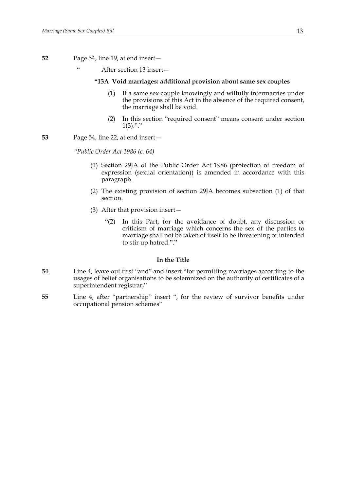**52** Page 54, line 19, at end insert—

" After section 13 insert—

### **"13A Void marriages: additional provision about same sex couples**

- (1) If a same sex couple knowingly and wilfully intermarries under the provisions of this Act in the absence of the required consent, the marriage shall be void.
- (2) In this section "required consent" means consent under section  $1(3)$ ."."
- **53** Page 54, line 22, at end insert—

*"Public Order Act 1986 (c. 64)*

- (1) Section 29JA of the Public Order Act 1986 (protection of freedom of expression (sexual orientation)) is amended in accordance with this paragraph.
- (2) The existing provision of section 29JA becomes subsection (1) of that section.
- (3) After that provision insert—
	- "(2) In this Part, for the avoidance of doubt, any discussion or criticism of marriage which concerns the sex of the parties to marriage shall not be taken of itself to be threatening or intended to stir up hatred."."

### **In the Title**

- **54** Line 4, leave out first "and" and insert "for permitting marriages according to the usages of belief organisations to be solemnized on the authority of certificates of a superintendent registrar,"
- **55** Line 4, after "partnership" insert ", for the review of survivor benefits under occupational pension schemes"